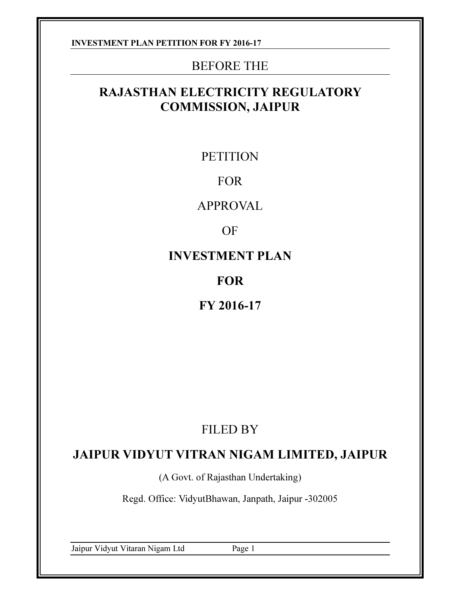## BEFORE THE

## RAJASTHAN ELECTRICITY REGULATORY COMMISSION, JAIPUR

## **PETITION**

## FOR

APPROVAL

OF

INVESTMENT PLAN

## FOR

FY 2016-17

# FILED BY

## JAIPUR VIDYUT VITRAN NIGAM LIMITED, JAIPUR

(A Govt. of Rajasthan Undertaking)

Regd. Office: VidyutBhawan, Janpath, Jaipur -302005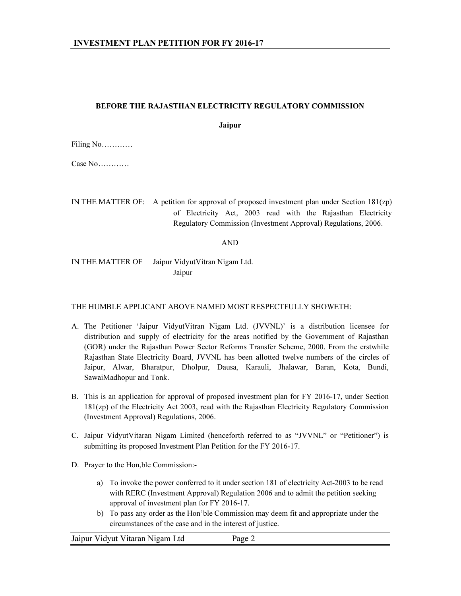#### BEFORE THE RAJASTHAN ELECTRICITY REGULATORY COMMISSION

Jaipur

Filing No…………

Case No…………

IN THE MATTER OF: A petition for approval of proposed investment plan under Section 181(zp) of Electricity Act, 2003 read with the Rajasthan Electricity Regulatory Commission (Investment Approval) Regulations, 2006.

AND

IN THE MATTER OF Jaipur VidyutVitran Nigam Ltd. Jaipur

#### THE HUMBLE APPLICANT ABOVE NAMED MOST RESPECTFULLY SHOWETH:

- A. The Petitioner 'Jaipur VidyutVitran Nigam Ltd. (JVVNL)' is a distribution licensee for distribution and supply of electricity for the areas notified by the Government of Rajasthan (GOR) under the Rajasthan Power Sector Reforms Transfer Scheme, 2000. From the erstwhile Rajasthan State Electricity Board, JVVNL has been allotted twelve numbers of the circles of Jaipur, Alwar, Bharatpur, Dholpur, Dausa, Karauli, Jhalawar, Baran, Kota, Bundi, SawaiMadhopur and Tonk.
- B. This is an application for approval of proposed investment plan for FY 2016-17, under Section 181(zp) of the Electricity Act 2003, read with the Rajasthan Electricity Regulatory Commission (Investment Approval) Regulations, 2006.
- C. Jaipur VidyutVitaran Nigam Limited (henceforth referred to as "JVVNL" or "Petitioner") is submitting its proposed Investment Plan Petition for the FY 2016-17.
- D. Prayer to the Hon,ble Commission:
	- a) To invoke the power conferred to it under section 181 of electricity Act-2003 to be read with RERC (Investment Approval) Regulation 2006 and to admit the petition seeking approval of investment plan for FY 2016-17.
	- b) To pass any order as the Hon'ble Commission may deem fit and appropriate under the circumstances of the case and in the interest of justice.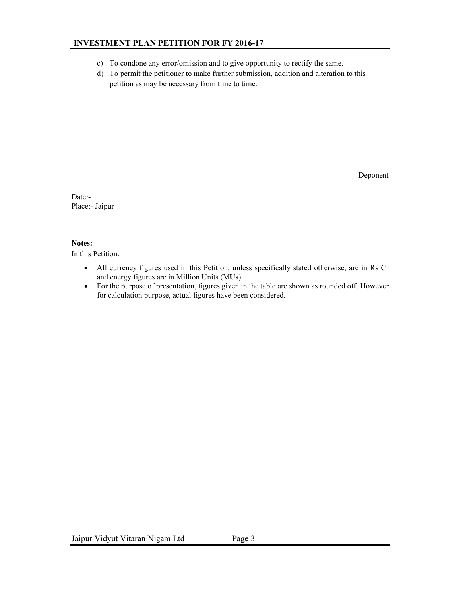- c) To condone any error/omission and to give opportunity to rectify the same.
- d) To permit the petitioner to make further submission, addition and alteration to this petition as may be necessary from time to time.

Deponent

Date:- Place:- Jaipur

#### Notes:

In this Petition:

- All currency figures used in this Petition, unless specifically stated otherwise, are in Rs Cr and energy figures are in Million Units (MUs).
- For the purpose of presentation, figures given in the table are shown as rounded off. However for calculation purpose, actual figures have been considered.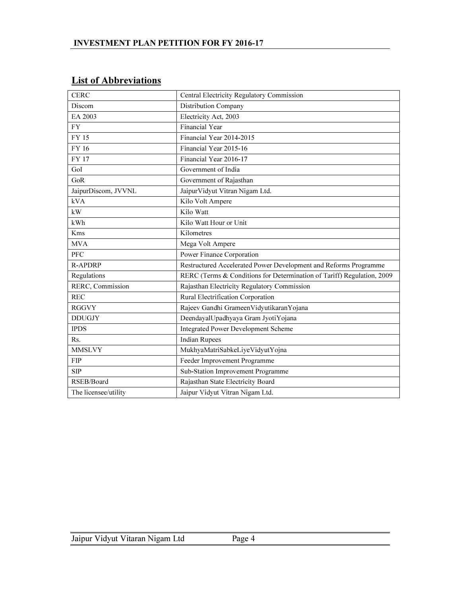|  | <b>List of Abbreviations</b> |  |
|--|------------------------------|--|
|  |                              |  |

| <b>CERC</b>          | Central Electricity Regulatory Commission                              |
|----------------------|------------------------------------------------------------------------|
| Discom               | Distribution Company                                                   |
| EA 2003              | Electricity Act, 2003                                                  |
| <b>FY</b>            | <b>Financial Year</b>                                                  |
| FY 15                | Financial Year 2014-2015                                               |
| FY 16                | Financial Year 2015-16                                                 |
| <b>FY 17</b>         | Financial Year 2016-17                                                 |
| GoI                  | Government of India                                                    |
| GoR                  | Government of Rajasthan                                                |
| JaipurDiscom, JVVNL  | Jaipur Vidyut Vitran Nigam Ltd.                                        |
| kVA                  | Kilo Volt Ampere                                                       |
| kW                   | Kilo Watt                                                              |
| kWh                  | Kilo Watt Hour or Unit                                                 |
| Kms                  | Kilometres                                                             |
| <b>MVA</b>           | Mega Volt Ampere                                                       |
| <b>PFC</b>           | Power Finance Corporation                                              |
| <b>R-APDRP</b>       | Restructured Accelerated Power Development and Reforms Programme       |
| Regulations          | RERC (Terms & Conditions for Determination of Tariff) Regulation, 2009 |
| RERC, Commission     | Rajasthan Electricity Regulatory Commission                            |
| <b>REC</b>           | Rural Electrification Corporation                                      |
| <b>RGGVY</b>         | Rajeev Gandhi GrameenVidyutikaranYojana                                |
| <b>DDUGJY</b>        | DeendayalUpadhyaya Gram JyotiYojana                                    |
| <b>IPDS</b>          | <b>Integrated Power Development Scheme</b>                             |
| Rs.                  | <b>Indian Rupees</b>                                                   |
| <b>MMSLVY</b>        | MukhyaMatriSabkeLiyeVidyutYojna                                        |
| <b>FIP</b>           | Feeder Improvement Programme                                           |
| <b>SIP</b>           | Sub-Station Improvement Programme                                      |
| RSEB/Board           | Rajasthan State Electricity Board                                      |
| The licensee/utility | Jaipur Vidyut Vitran Nigam Ltd.                                        |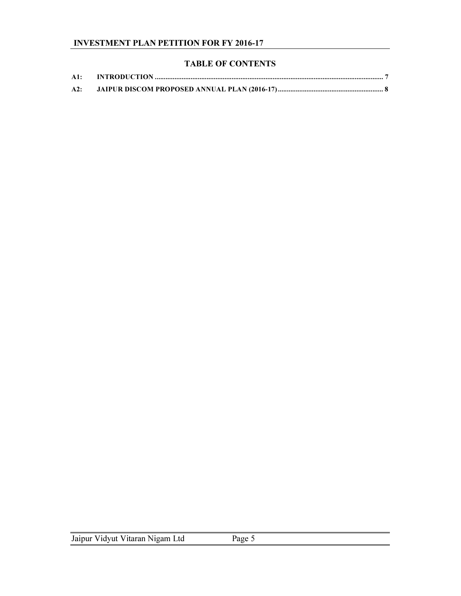## TABLE OF CONTENTS

| A1: |  |
|-----|--|
| A2: |  |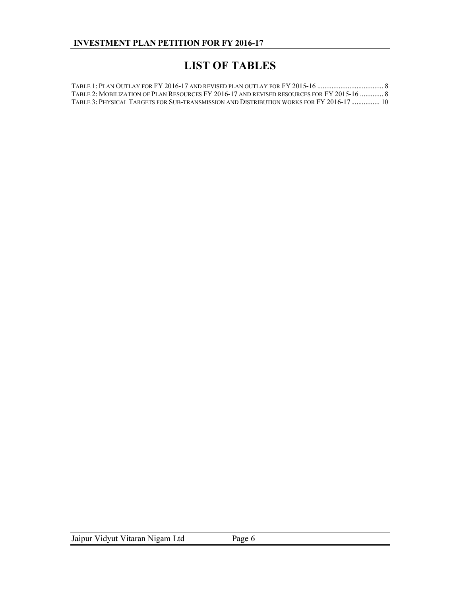## LIST OF TABLES

| TABLE 2: MOBILIZATION OF PLAN RESOURCES FY 2016-17 AND REVISED RESOURCES FOR FY 2015-16  8 |  |
|--------------------------------------------------------------------------------------------|--|
| TABLE 3: PHYSICAL TARGETS FOR SUB-TRANSMISSION AND DISTRIBUTION WORKS FOR FY 2016-17  10   |  |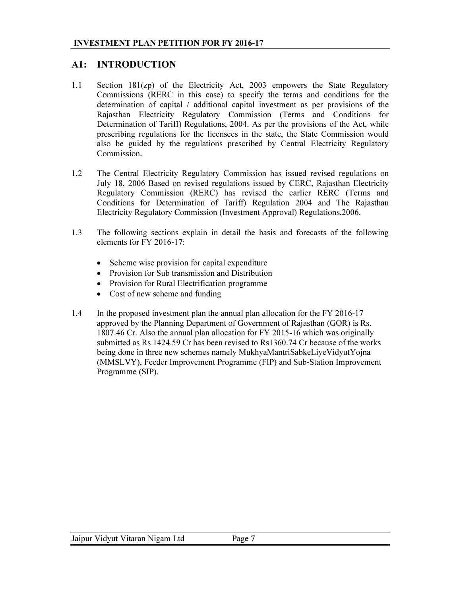## A1: INTRODUCTION

- 1.1 Section 181(zp) of the Electricity Act, 2003 empowers the State Regulatory Commissions (RERC in this case) to specify the terms and conditions for the determination of capital / additional capital investment as per provisions of the Rajasthan Electricity Regulatory Commission (Terms and Conditions for Determination of Tariff) Regulations, 2004. As per the provisions of the Act, while prescribing regulations for the licensees in the state, the State Commission would also be guided by the regulations prescribed by Central Electricity Regulatory Commission.
- 1.2 The Central Electricity Regulatory Commission has issued revised regulations on July 18, 2006 Based on revised regulations issued by CERC, Rajasthan Electricity Regulatory Commission (RERC) has revised the earlier RERC (Terms and Conditions for Determination of Tariff) Regulation 2004 and The Rajasthan Electricity Regulatory Commission (Investment Approval) Regulations,2006.
- 1.3 The following sections explain in detail the basis and forecasts of the following elements for FY 2016-17:
	- Scheme wise provision for capital expenditure
	- Provision for Sub transmission and Distribution
	- Provision for Rural Electrification programme
	- Cost of new scheme and funding
- 1.4 In the proposed investment plan the annual plan allocation for the FY 2016-17 approved by the Planning Department of Government of Rajasthan (GOR) is Rs. 1807.46 Cr. Also the annual plan allocation for FY 2015-16 which was originally submitted as Rs 1424.59 Cr has been revised to Rs1360.74 Cr because of the works being done in three new schemes namely MukhyaMantriSabkeLiyeVidyutYojna (MMSLVY), Feeder Improvement Programme (FIP) and Sub-Station Improvement Programme (SIP).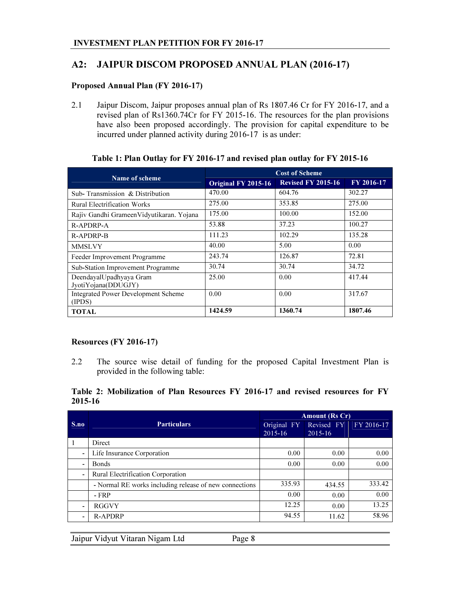## A2: JAIPUR DISCOM PROPOSED ANNUAL PLAN (2016-17)

#### Proposed Annual Plan (FY 2016-17)

2.1 Jaipur Discom, Jaipur proposes annual plan of Rs 1807.46 Cr for FY 2016-17, and a revised plan of Rs1360.74Cr for FY 2015-16. The resources for the plan provisions have also been proposed accordingly. The provision for capital expenditure to be incurred under planned activity during 2016-17 is as under:

| Name of scheme                                       | <b>Cost of Scheme</b> |                           |            |  |
|------------------------------------------------------|-----------------------|---------------------------|------------|--|
|                                                      | Original FY 2015-16   | <b>Revised FY 2015-16</b> | FY 2016-17 |  |
| Sub-Transmission & Distribution                      | 470.00                | 604.76                    | 302.27     |  |
| <b>Rural Electrification Works</b>                   | 275.00                | 353.85                    | 275.00     |  |
| Rajiv Gandhi Grameen Vidyutikaran. Yojana            | 175.00                | 100.00                    | 152.00     |  |
| R-APDRP-A                                            | 53.88                 | 37.23                     | 100.27     |  |
| R-APDRP-B                                            | 111.23                | 102.29                    | 135.28     |  |
| <b>MMSLVY</b>                                        | 40.00                 | 5.00                      | 0.00       |  |
| Feeder Improvement Programme                         | 243.74                | 126.87                    | 72.81      |  |
| Sub-Station Improvement Programme                    | 30.74                 | 30.74                     | 34.72      |  |
| DeendayalUpadhyaya Gram<br>JyotiYojana(DDUGJY)       | 25.00                 | 0.00                      | 417.44     |  |
| <b>Integrated Power Development Scheme</b><br>(IPDS) | 0.00                  | 0.00                      | 317.67     |  |
| <b>TOTAL</b>                                         | 1424.59               | 1360.74                   | 1807.46    |  |

#### Table 1: Plan Outlay for FY 2016-17 and revised plan outlay for FY 2015-16

#### Resources (FY 2016-17)

2.2 The source wise detail of funding for the proposed Capital Investment Plan is provided in the following table:

#### Table 2: Mobilization of Plan Resources FY 2016-17 and revised resources for FY 2015-16

|                          |                                                        | <b>Amount (Rs Cr)</b> |             |            |  |
|--------------------------|--------------------------------------------------------|-----------------------|-------------|------------|--|
| S.no                     | <b>Particulars</b>                                     | Original FY           | Revised FY  | FY 2016-17 |  |
|                          |                                                        | $2015 - 16$           | $2015 - 16$ |            |  |
|                          | Direct                                                 |                       |             |            |  |
| $\overline{\phantom{a}}$ | Life Insurance Corporation                             | 0.00                  | 0.00        | 0.00       |  |
| $\overline{\phantom{0}}$ | <b>Bonds</b>                                           | 0.00                  | 0.00        | 0.00       |  |
| $\overline{\phantom{0}}$ | Rural Electrification Corporation                      |                       |             |            |  |
|                          | - Normal RE works including release of new connections | 335.93                | 434.55      | 333.42     |  |
|                          | $-FRP$                                                 | 0.00                  | 0.00        | 0.00       |  |
| $\overline{\phantom{0}}$ | <b>RGGVY</b>                                           | 12.25                 | 0.00        | 13.25      |  |
| $\overline{\phantom{0}}$ | <b>R-APDRP</b>                                         | 94.55                 | 11.62       | 58.96      |  |

|  | Jaipur Vidyut Vitaran Nigam Ltd | Page 8 |
|--|---------------------------------|--------|
|--|---------------------------------|--------|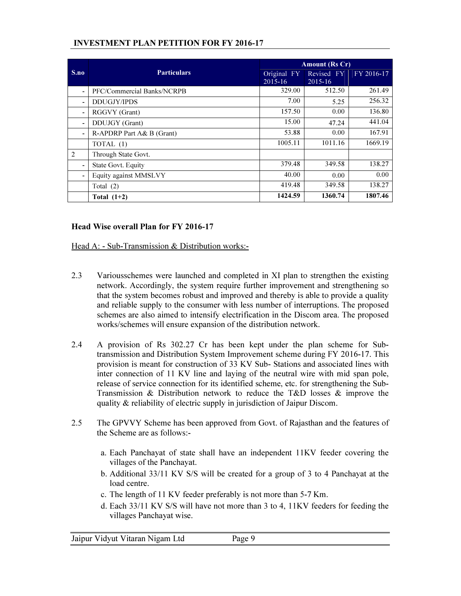|                          |                            | <b>Amount (Rs Cr)</b>      |                           |            |  |
|--------------------------|----------------------------|----------------------------|---------------------------|------------|--|
| S.no                     | <b>Particulars</b>         | Original FY<br>$2015 - 16$ | Revised FY<br>$2015 - 16$ | FY 2016-17 |  |
|                          | PFC/Commercial Banks/NCRPB | 329.00                     | 512.50                    | 261.49     |  |
| $\overline{\phantom{0}}$ | <b>DDUGJY/IPDS</b>         | 7.00                       | 5.25                      | 256.32     |  |
|                          | RGGVY (Grant)              | 157.50                     | 0.00                      | 136.80     |  |
|                          | DDUJGY (Grant)             | 15.00                      | 47.24                     | 441.04     |  |
| $\overline{\phantom{a}}$ | R-APDRP Part $A&B$ (Grant) | 53.88                      | 0.00                      | 167.91     |  |
|                          | TOTAL (1)                  | 1005.11                    | 1011.16                   | 1669.19    |  |
| 2                        | Through State Govt.        |                            |                           |            |  |
|                          | State Govt. Equity         | 379.48                     | 349.58                    | 138.27     |  |
|                          | Equity against MMSLVY      | 40.00                      | 0.00                      | 0.00       |  |
|                          | Total $(2)$                | 419.48                     | 349.58                    | 138.27     |  |
|                          | Total $(1+2)$              | 1424.59                    | 1360.74                   | 1807.46    |  |

#### Head Wise overall Plan for FY 2016-17

Head A: - Sub-Transmission & Distribution works:-

- 2.3 Variousschemes were launched and completed in XI plan to strengthen the existing network. Accordingly, the system require further improvement and strengthening so that the system becomes robust and improved and thereby is able to provide a quality and reliable supply to the consumer with less number of interruptions. The proposed schemes are also aimed to intensify electrification in the Discom area. The proposed works/schemes will ensure expansion of the distribution network.
- 2.4 A provision of Rs 302.27 Cr has been kept under the plan scheme for Subtransmission and Distribution System Improvement scheme during FY 2016-17. This provision is meant for construction of 33 KV Sub- Stations and associated lines with inter connection of 11 KV line and laying of the neutral wire with mid span pole, release of service connection for its identified scheme, etc. for strengthening the Sub-Transmission & Distribution network to reduce the T&D losses  $\&$  improve the quality & reliability of electric supply in jurisdiction of Jaipur Discom.
- 2.5 The GPVVY Scheme has been approved from Govt. of Rajasthan and the features of the Scheme are as follows:
	- a. Each Panchayat of state shall have an independent 11KV feeder covering the villages of the Panchayat.
	- b. Additional 33/11 KV S/S will be created for a group of 3 to 4 Panchayat at the load centre.
	- c. The length of 11 KV feeder preferably is not more than 5-7 Km.
	- d. Each 33/11 KV S/S will have not more than 3 to 4, 11KV feeders for feeding the villages Panchayat wise.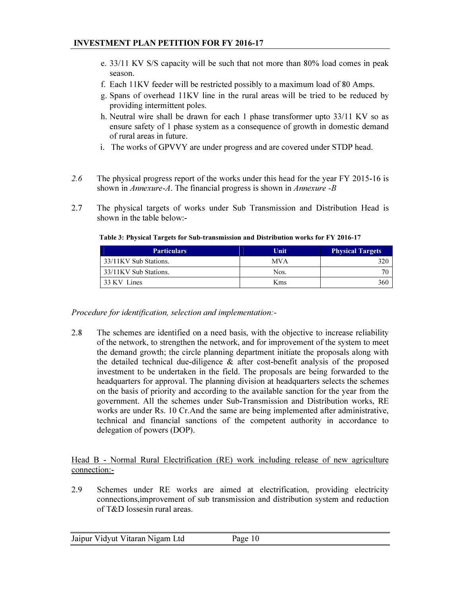- e. 33/11 KV S/S capacity will be such that not more than 80% load comes in peak season.
- f. Each 11KV feeder will be restricted possibly to a maximum load of 80 Amps.
- g. Spans of overhead 11KV line in the rural areas will be tried to be reduced by providing intermittent poles.
- h. Neutral wire shall be drawn for each 1 phase transformer upto 33/11 KV so as ensure safety of 1 phase system as a consequence of growth in domestic demand of rural areas in future.
- i. The works of GPVVY are under progress and are covered under STDP head.
- *2.6* The physical progress report of the works under this head for the year FY 2015-16 is shown in *Annexure-A*. The financial progress is shown in *Annexure -B*
- 2.7 The physical targets of works under Sub Transmission and Distribution Head is shown in the table below:-

| <b>Particulars</b>    | Unit       | <b>Physical Targets</b> |
|-----------------------|------------|-------------------------|
| 33/11KV Sub Stations. | <b>MVA</b> | 270                     |
| 33/11KV Sub Stations. | Nos.       |                         |
| 33 KV Lines           | Kms        | 360                     |

Table 3: Physical Targets for Sub-transmission and Distribution works for FY 2016-17

*Procedure for identification, selection and implementation:-* 

2.8 The schemes are identified on a need basis, with the objective to increase reliability of the network, to strengthen the network, and for improvement of the system to meet the demand growth; the circle planning department initiate the proposals along with the detailed technical due-diligence & after cost-benefit analysis of the proposed investment to be undertaken in the field. The proposals are being forwarded to the headquarters for approval. The planning division at headquarters selects the schemes on the basis of priority and according to the available sanction for the year from the government. All the schemes under Sub-Transmission and Distribution works, RE works are under Rs. 10 Cr.And the same are being implemented after administrative, technical and financial sanctions of the competent authority in accordance to delegation of powers (DOP).

#### Head B - Normal Rural Electrification (RE) work including release of new agriculture connection:-

2.9 Schemes under RE works are aimed at electrification, providing electricity connections,improvement of sub transmission and distribution system and reduction of T&D lossesin rural areas.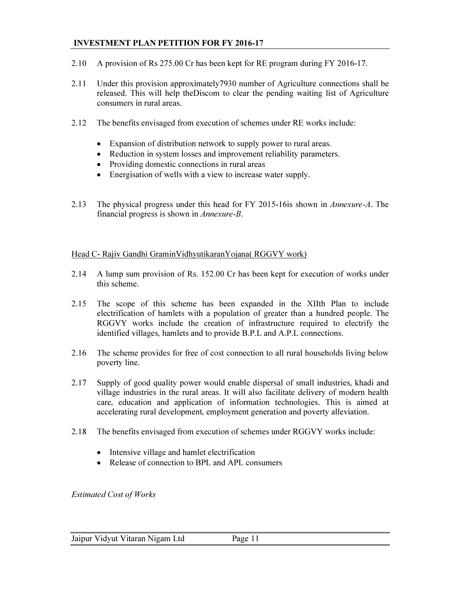- 2.10 A provision of Rs 275.00 Cr has been kept for RE program during FY 2016-17.
- 2.11 Under this provision approximately7930 number of Agriculture connections shall be released. This will help theDiscom to clear the pending waiting list of Agriculture consumers in rural areas.
- 2.12 The benefits envisaged from execution of schemes under RE works include:
	- Expansion of distribution network to supply power to rural areas.
	- Reduction in system losses and improvement reliability parameters.
	- Providing domestic connections in rural areas
	- Energisation of wells with a view to increase water supply.
- 2.13 The physical progress under this head for FY 2015-16is shown in *Annexure-A*. The financial progress is shown in *Annexure-B*.

#### Head C- Rajiv Gandhi GraminVidhyutikaranYojana( RGGVY work)

- 2.14 A lump sum provision of Rs. 152.00 Cr has been kept for execution of works under this scheme.
- 2.15 The scope of this scheme has been expanded in the XIIth Plan to include electrification of hamlets with a population of greater than a hundred people. The RGGVY works include the creation of infrastructure required to electrify the identified villages, hamlets and to provide B.P.L and A.P.L connections.
- 2.16 The scheme provides for free of cost connection to all rural households living below poverty line.
- 2.17 Supply of good quality power would enable dispersal of small industries, khadi and village industries in the rural areas. It will also facilitate delivery of modern health care, education and application of information technologies. This is aimed at accelerating rural development, employment generation and poverty alleviation.
- 2.18 The benefits envisaged from execution of schemes under RGGVY works include:
	- Intensive village and hamlet electrification
	- Release of connection to BPL and APL consumers

*Estimated Cost of Works*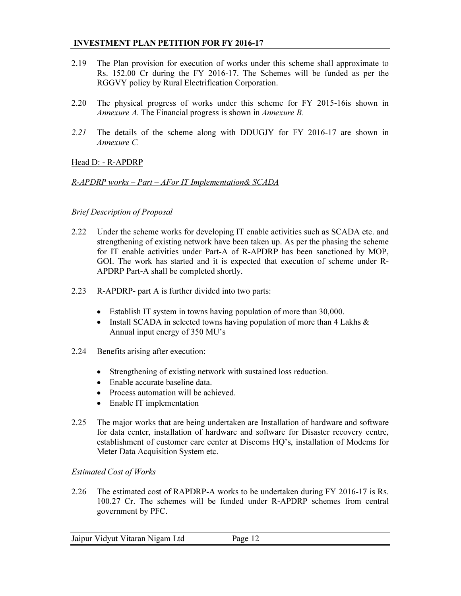- 2.19 The Plan provision for execution of works under this scheme shall approximate to Rs. 152.00 Cr during the FY 2016-17. The Schemes will be funded as per the RGGVY policy by Rural Electrification Corporation.
- 2.20 The physical progress of works under this scheme for FY 2015-16is shown in *Annexure A*. The Financial progress is shown in *Annexure B.*
- *2.21* The details of the scheme along with DDUGJY for FY 2016-17 are shown in *Annexure C.*

#### Head D: - R-APDRP

#### *R-APDRP works – Part – AFor IT Implementation& SCADA*

#### *Brief Description of Proposal*

- 2.22 Under the scheme works for developing IT enable activities such as SCADA etc. and strengthening of existing network have been taken up. As per the phasing the scheme for IT enable activities under Part-A of R-APDRP has been sanctioned by MOP, GOI. The work has started and it is expected that execution of scheme under R-APDRP Part-A shall be completed shortly.
- 2.23 R-APDRP- part A is further divided into two parts:
	- Establish IT system in towns having population of more than 30,000.
	- Install SCADA in selected towns having population of more than 4 Lakhs & Annual input energy of 350 MU's
- 2.24 Benefits arising after execution:
	- Strengthening of existing network with sustained loss reduction.
	- Enable accurate baseline data.
	- Process automation will be achieved.
	- Enable IT implementation
- 2.25 The major works that are being undertaken are Installation of hardware and software for data center, installation of hardware and software for Disaster recovery centre, establishment of customer care center at Discoms HQ's, installation of Modems for Meter Data Acquisition System etc.

#### *Estimated Cost of Works*

2.26 The estimated cost of RAPDRP-A works to be undertaken during FY 2016-17 is Rs. 100.27 Cr. The schemes will be funded under R-APDRP schemes from central government by PFC.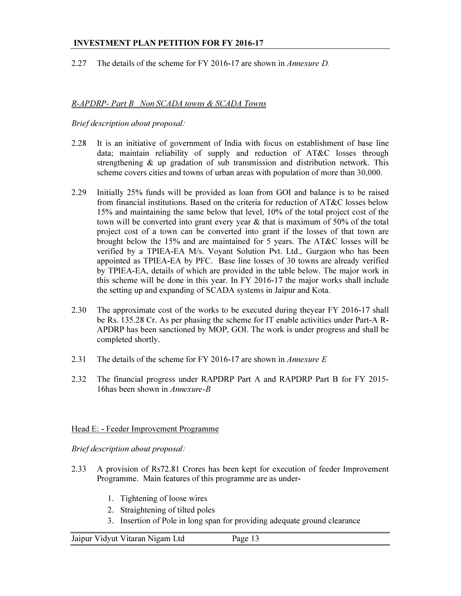#### 2.27 The details of the scheme for FY 2016-17 are shown in *Annexure D.*

#### *R-APDRP- Part B Non SCADA towns & SCADA Towns*

#### *Brief description about proposal:*

- 2.28 It is an initiative of government of India with focus on establishment of base line data; maintain reliability of supply and reduction of AT&C losses through strengthening & up gradation of sub transmission and distribution network. This scheme covers cities and towns of urban areas with population of more than 30,000.
- 2.29 Initially 25% funds will be provided as loan from GOI and balance is to be raised from financial institutions. Based on the criteria for reduction of AT&C losses below 15% and maintaining the same below that level, 10% of the total project cost of the town will be converted into grant every year & that is maximum of 50% of the total project cost of a town can be converted into grant if the losses of that town are brought below the 15% and are maintained for 5 years. The AT&C losses will be verified by a TPIEA-EA M/s. Voyant Solution Pvt. Ltd., Gurgaon who has been appointed as TPIEA-EA by PFC. Base line losses of 30 towns are already verified by TPIEA-EA, details of which are provided in the table below. The major work in this scheme will be done in this year. In FY 2016-17 the major works shall include the setting up and expanding of SCADA systems in Jaipur and Kota.
- 2.30 The approximate cost of the works to be executed during theyear FY 2016-17 shall be Rs. 135.28 Cr. As per phasing the scheme for IT enable activities under Part-A R-APDRP has been sanctioned by MOP, GOI. The work is under progress and shall be completed shortly.
- 2.31 The details of the scheme for FY 2016-17 are shown in *Annexure E*
- 2.32 The financial progress under RAPDRP Part A and RAPDRP Part B for FY 2015- 16has been shown in *Annexure-B*

#### Head E: - Feeder Improvement Programme

*Brief description about proposal:* 

- 2.33 A provision of Rs72.81 Crores has been kept for execution of feeder Improvement Programme. Main features of this programme are as under-
	- 1. Tightening of loose wires
	- 2. Straightening of tilted poles
	- 3. Insertion of Pole in long span for providing adequate ground clearance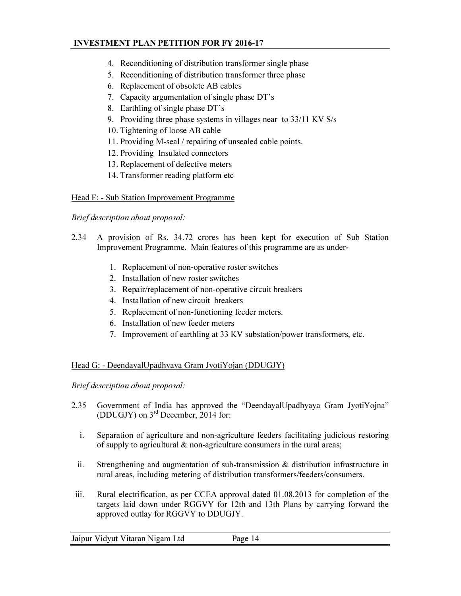- 4. Reconditioning of distribution transformer single phase
- 5. Reconditioning of distribution transformer three phase
- 6. Replacement of obsolete AB cables
- 7. Capacity argumentation of single phase DT's
- 8. Earthling of single phase DT's
- 9. Providing three phase systems in villages near to 33/11 KV S/s
- 10. Tightening of loose AB cable
- 11. Providing M-seal / repairing of unsealed cable points.
- 12. Providing Insulated connectors
- 13. Replacement of defective meters
- 14. Transformer reading platform etc

#### Head F: - Sub Station Improvement Programme

*Brief description about proposal:* 

- 2.34 A provision of Rs. 34.72 crores has been kept for execution of Sub Station Improvement Programme. Main features of this programme are as under-
	- 1. Replacement of non-operative roster switches
	- 2. Installation of new roster switches
	- 3. Repair/replacement of non-operative circuit breakers
	- 4. Installation of new circuit breakers
	- 5. Replacement of non-functioning feeder meters.
	- 6. Installation of new feeder meters
	- 7. Improvement of earthling at 33 KV substation/power transformers, etc.

#### Head G: - DeendayalUpadhyaya Gram JyotiYojan (DDUGJY)

*Brief description about proposal:* 

- 2.35 Government of India has approved the "DeendayalUpadhyaya Gram JyotiYojna" (DDUGJY) on 3rd December, 2014 for:
	- i. Separation of agriculture and non-agriculture feeders facilitating judicious restoring of supply to agricultural & non-agriculture consumers in the rural areas;
	- ii. Strengthening and augmentation of sub-transmission  $\&$  distribution infrastructure in rural areas, including metering of distribution transformers/feeders/consumers.
- iii. Rural electrification, as per CCEA approval dated 01.08.2013 for completion of the targets laid down under RGGVY for 12th and 13th Plans by carrying forward the approved outlay for RGGVY to DDUGJY.

|  | Jaipur Vidyut Vitaran Nigam Ltd | Page 14 |  |
|--|---------------------------------|---------|--|
|  |                                 |         |  |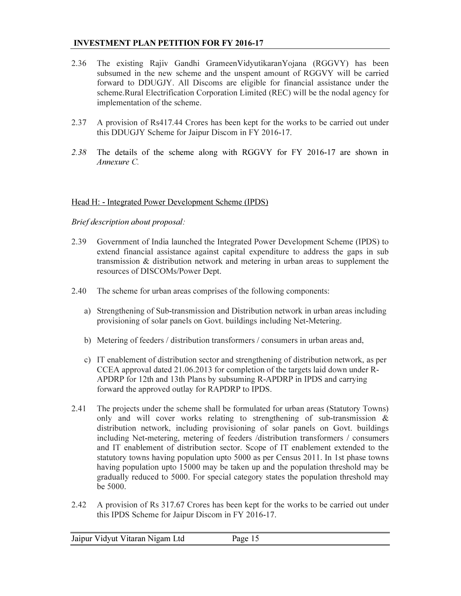- 2.36 The existing Rajiv Gandhi GrameenVidyutikaranYojana (RGGVY) has been subsumed in the new scheme and the unspent amount of RGGVY will be carried forward to DDUGJY. All Discoms are eligible for financial assistance under the scheme.Rural Electrification Corporation Limited (REC) will be the nodal agency for implementation of the scheme.
- 2.37 A provision of Rs417.44 Crores has been kept for the works to be carried out under this DDUGJY Scheme for Jaipur Discom in FY 2016-17.
- *2.38* The details of the scheme along with RGGVY for FY 2016-17 are shown in *Annexure C.*

#### Head H: - Integrated Power Development Scheme (IPDS)

#### *Brief description about proposal:*

- 2.39 Government of India launched the Integrated Power Development Scheme (IPDS) to extend financial assistance against capital expenditure to address the gaps in sub transmission & distribution network and metering in urban areas to supplement the resources of DISCOMs/Power Dept.
- 2.40 The scheme for urban areas comprises of the following components:
	- a) Strengthening of Sub-transmission and Distribution network in urban areas including provisioning of solar panels on Govt. buildings including Net-Metering.
	- b) Metering of feeders / distribution transformers / consumers in urban areas and,
	- c) IT enablement of distribution sector and strengthening of distribution network, as per CCEA approval dated 21.06.2013 for completion of the targets laid down under R-APDRP for 12th and 13th Plans by subsuming R-APDRP in IPDS and carrying forward the approved outlay for RAPDRP to IPDS.
- 2.41 The projects under the scheme shall be formulated for urban areas (Statutory Towns) only and will cover works relating to strengthening of sub-transmission & distribution network, including provisioning of solar panels on Govt. buildings including Net-metering, metering of feeders /distribution transformers / consumers and IT enablement of distribution sector. Scope of IT enablement extended to the statutory towns having population upto 5000 as per Census 2011. In 1st phase towns having population upto 15000 may be taken up and the population threshold may be gradually reduced to 5000. For special category states the population threshold may be 5000.
- 2.42 A provision of Rs 317.67 Crores has been kept for the works to be carried out under this IPDS Scheme for Jaipur Discom in FY 2016-17.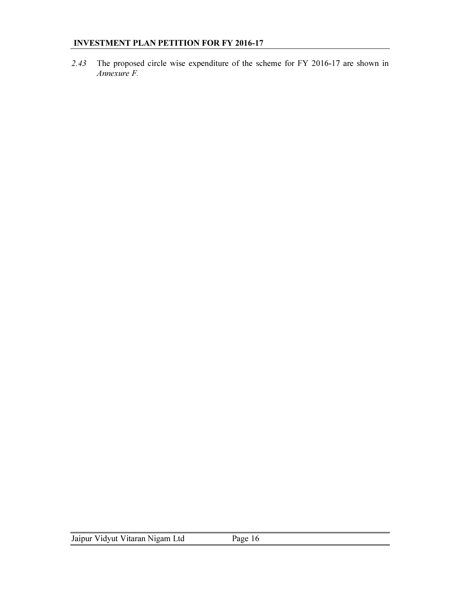*2.43* The proposed circle wise expenditure of the scheme for FY 2016-17 are shown in *Annexure F.*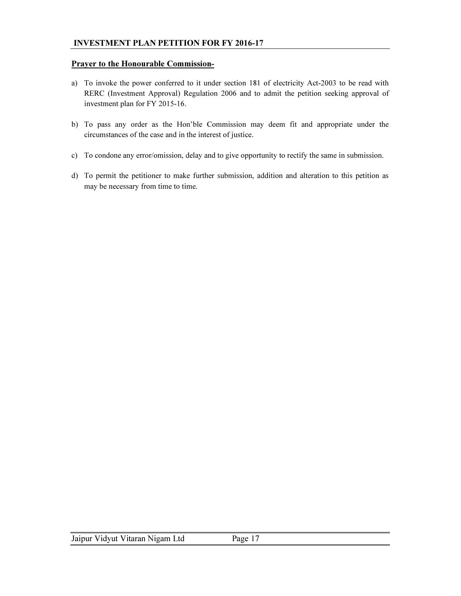#### Prayer to the Honourable Commission-

- a) To invoke the power conferred to it under section 181 of electricity Act-2003 to be read with RERC (Investment Approval) Regulation 2006 and to admit the petition seeking approval of investment plan for FY 2015-16.
- b) To pass any order as the Hon'ble Commission may deem fit and appropriate under the circumstances of the case and in the interest of justice.
- c) To condone any error/omission, delay and to give opportunity to rectify the same in submission.
- d) To permit the petitioner to make further submission, addition and alteration to this petition as may be necessary from time to time.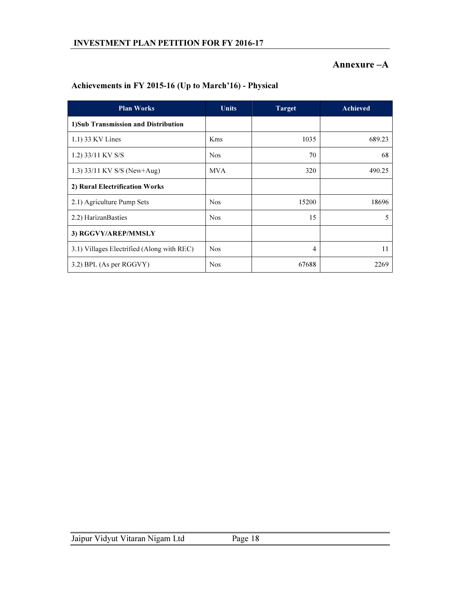## Annexure –A

| <b>Plan Works</b>                          | <b>Units</b> | <b>Target</b> | Achieved |
|--------------------------------------------|--------------|---------------|----------|
| 1)Sub Transmission and Distribution        |              |               |          |
| 1.1) 33 KV Lines                           | <b>K</b> ms  | 1035          | 689.23   |
| 1.2) 33/11 KV S/S                          | <b>Nos</b>   | 70            | 68       |
| 1.3) 33/11 KV S/S (New+Aug)                | <b>MVA</b>   | 320           | 490.25   |
| 2) Rural Electrification Works             |              |               |          |
| 2.1) Agriculture Pump Sets                 | <b>Nos</b>   | 15200         | 18696    |
| 2.2) Harizan Basties                       | <b>Nos</b>   | 15            | 5        |
| 3) RGGVY/AREP/MMSLY                        |              |               |          |
| 3.1) Villages Electrified (Along with REC) | <b>Nos</b>   | 4             | 11       |
| 3.2) BPL (As per RGGVY)                    | <b>Nos</b>   | 67688         | 2269     |

## Achievements in FY 2015-16 (Up to March'16) - Physical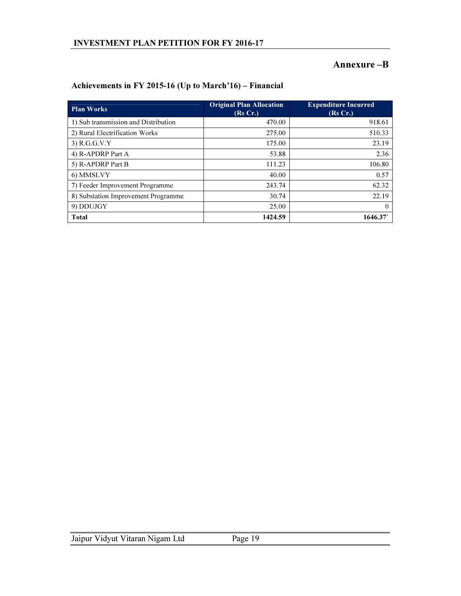## Annexure –B

| <b>Plan Works</b>                    | <b>Original Plan Allocation</b><br>(Rs Cr.) | <b>Expenditure Incurred</b><br>(Rs Cr.) |
|--------------------------------------|---------------------------------------------|-----------------------------------------|
| 1) Sub transmission and Distribution | 470.00                                      | 918.61                                  |
| 2) Rural Electrification Works       | 275.00                                      | 510.33                                  |
| $3)$ R.G.G.V.Y                       | 175.00                                      | 23.19                                   |
| 4) R-APDRP Part A                    | 53.88                                       | 2.36                                    |
| 5) R-APDRP Part B                    | 111.23                                      | 106.80                                  |
| 6) MMSLVY                            | 40.00                                       | 0.57                                    |
| 7) Feeder Improvement Programme      | 243.74                                      | 62.32                                   |
| 8) Substation Improvement Programme  | 30.74                                       | 22.19                                   |
| 9) DDUJGY                            | 25.00                                       | $\Omega$                                |
| <b>Total</b>                         | 1424.59                                     | 1646.37                                 |

## Achievements in FY 2015-16 (Up to March'16) – Financial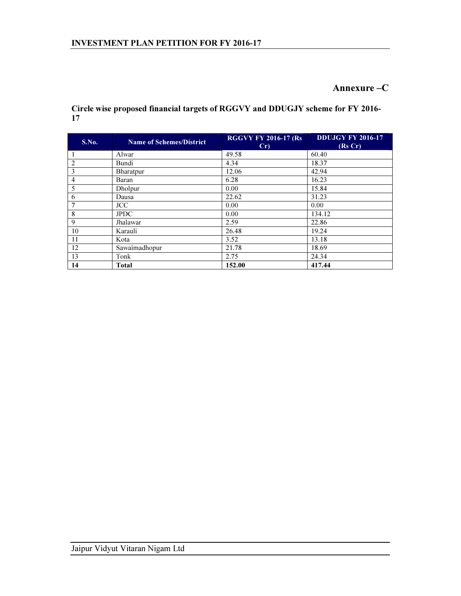## Annexure –C

Circle wise proposed financial targets of RGGVY and DDUGJY scheme for FY 2016- 

| S.No. | <b>Name of Schemes/District</b> | <b>RGGVY FY 2016-17 (Rs</b><br>Cr | <b>DDUJGY FY 2016-17</b><br>(Rs Cr) |
|-------|---------------------------------|-----------------------------------|-------------------------------------|
|       | Alwar                           | 49.58                             | 60.40                               |
| 2     | Bundi                           | 4.34                              | 18.37                               |
| 3     | Bharatpur                       | 12.06                             | 42.94                               |
| 4     | Baran                           | 6.28                              | 16.23                               |
| 5     | Dholpur                         | 0.00                              | 15.84                               |
| 6     | Dausa                           | 22.62                             | 31.23                               |
|       | JCC                             | 0.00                              | 0.00                                |
| 8     | <b>JPDC</b>                     | 0.00                              | 134.12                              |
| 9     | Jhalawar                        | 2.59                              | 22.86                               |
| 10    | Karauli                         | 26.48                             | 19.24                               |
| 11    | Kota                            | 3.52                              | 13.18                               |
| 12    | Sawaimadhopur                   | 21.78                             | 18.69                               |
| 13    | Tonk                            | 2.75                              | 24.34                               |
| 14    | <b>Total</b>                    | 152.00                            | 417.44                              |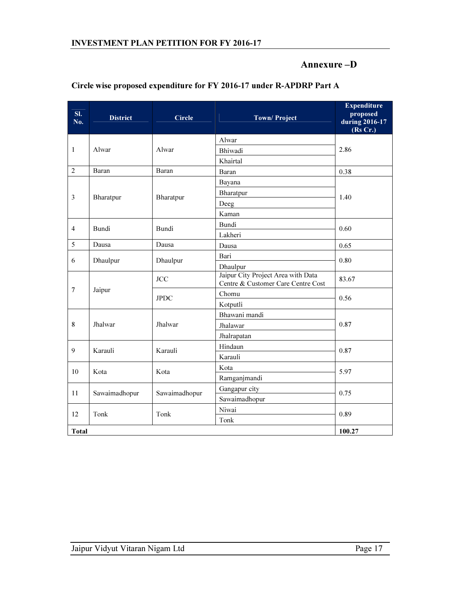## Annexure –D

| SI.<br>No.     | <b>District</b> | <b>Circle</b> | <b>Town/Project</b>                                                      | <b>Expenditure</b><br>proposed<br>during 2016-17<br>(Rs Cr.) |  |
|----------------|-----------------|---------------|--------------------------------------------------------------------------|--------------------------------------------------------------|--|
| $\mathbf{1}$   | Alwar           | Alwar         | Alwar                                                                    | 2.86                                                         |  |
|                |                 |               | Bhiwadi                                                                  |                                                              |  |
|                |                 |               | Khairtal                                                                 |                                                              |  |
| 2              | Baran           | Baran         | Baran                                                                    | 0.38                                                         |  |
|                | Bharatpur       | Bharatpur     | Bayana                                                                   |                                                              |  |
| 3              |                 |               | Bharatpur                                                                | 1.40                                                         |  |
|                |                 |               | Deeg                                                                     |                                                              |  |
|                |                 |               | Kaman                                                                    |                                                              |  |
| $\overline{4}$ | Bundi           | Bundi         | Bundi                                                                    | 0.60                                                         |  |
|                |                 |               | Lakheri                                                                  |                                                              |  |
| 5              | Dausa           | Dausa         | Dausa                                                                    | 0.65                                                         |  |
| 6              | Dhaulpur        | Dhaulpur      | Bari                                                                     | 0.80                                                         |  |
|                |                 |               | Dhaulpur                                                                 |                                                              |  |
| $\tau$         | Jaipur          | <b>JCC</b>    | Jaipur City Project Area with Data<br>Centre & Customer Care Centre Cost | 83.67                                                        |  |
|                |                 | <b>JPDC</b>   | Chomu                                                                    | 0.56                                                         |  |
|                |                 |               | Kotputli                                                                 |                                                              |  |
|                | Jhalwar         | Jhalwar       | Bhawani mandi                                                            |                                                              |  |
| 8              |                 |               | Jhalawar                                                                 | 0.87                                                         |  |
|                |                 |               | Jhalrapatan                                                              |                                                              |  |
| 9              | Karauli         | Karauli       | Hindaun                                                                  | 0.87                                                         |  |
|                |                 |               | Karauli                                                                  |                                                              |  |
| 10             | Kota            | Kota          | Kota                                                                     | 5.97                                                         |  |
|                |                 |               | Ramganjmandi                                                             |                                                              |  |
| 11             | Sawaimadhopur   | Sawaimadhopur | Gangapur city                                                            | 0.75                                                         |  |
|                |                 |               | Sawaimadhopur                                                            |                                                              |  |
| 12             | Tonk            | Tonk          | Niwai                                                                    | 0.89                                                         |  |
|                |                 |               | Tonk                                                                     |                                                              |  |
| <b>Total</b>   |                 |               |                                                                          | 100.27                                                       |  |

## Circle wise proposed expenditure for FY 2016-17 under R-APDRP Part A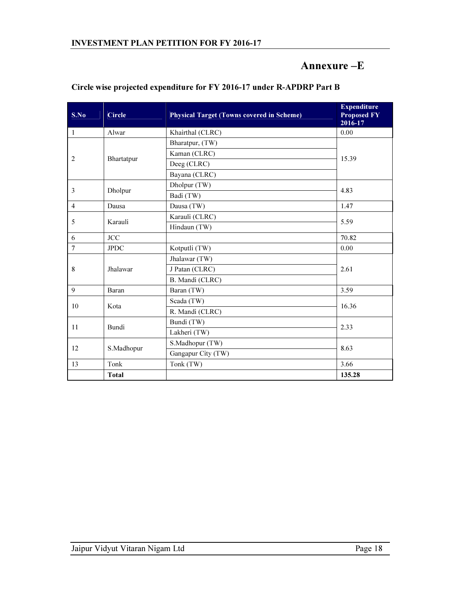## Annexure –E

| S.No           | <b>Circle</b> | <b>Physical Target (Towns covered in Scheme)</b> | <b>Expenditure</b><br><b>Proposed FY</b><br>2016-17 |  |
|----------------|---------------|--------------------------------------------------|-----------------------------------------------------|--|
| $\mathbf{1}$   | Alwar         | Khairthal (CLRC)                                 | 0.00                                                |  |
| 2              | Bhartatpur    | Bharatpur, (TW)                                  | 15.39                                               |  |
|                |               | Kaman (CLRC)                                     |                                                     |  |
|                |               | Deeg (CLRC)                                      |                                                     |  |
|                |               | Bayana (CLRC)                                    |                                                     |  |
| 3              | Dholpur       | Dholpur (TW)                                     | 4.83                                                |  |
|                |               | Badi (TW)                                        |                                                     |  |
| $\overline{4}$ | Dausa         | Dausa (TW)                                       | 1.47                                                |  |
|                | Karauli       | Karauli (CLRC)                                   |                                                     |  |
| 5              |               | Hindaun (TW)                                     | 5.59                                                |  |
| 6              | JCC           |                                                  | 70.82                                               |  |
| $\overline{7}$ | <b>JPDC</b>   | Kotputli (TW)                                    | 0.00                                                |  |
| 8              | Jhalawar      | Jhalawar (TW)                                    | 2.61                                                |  |
|                |               | J Patan (CLRC)                                   |                                                     |  |
|                |               | B. Mandi (CLRC)                                  |                                                     |  |
| 9              | Baran         | Baran (TW)                                       | 3.59                                                |  |
| 10             | Kota          | Scada (TW)                                       | 16.36                                               |  |
|                |               | R. Mandi (CLRC)                                  |                                                     |  |
| 11             | <b>Bundi</b>  | Bundi (TW)                                       | 2.33                                                |  |
|                |               | Lakheri (TW)                                     |                                                     |  |
|                |               | S.Madhopur (TW)                                  |                                                     |  |
| 12             | S.Madhopur    | Gangapur City (TW)                               | 8.63                                                |  |
| 13             | Tonk          | Tonk (TW)                                        | 3.66                                                |  |
|                | <b>Total</b>  |                                                  | 135.28                                              |  |

### Circle wise projected expenditure for FY 2016-17 under R-APDRP Part B